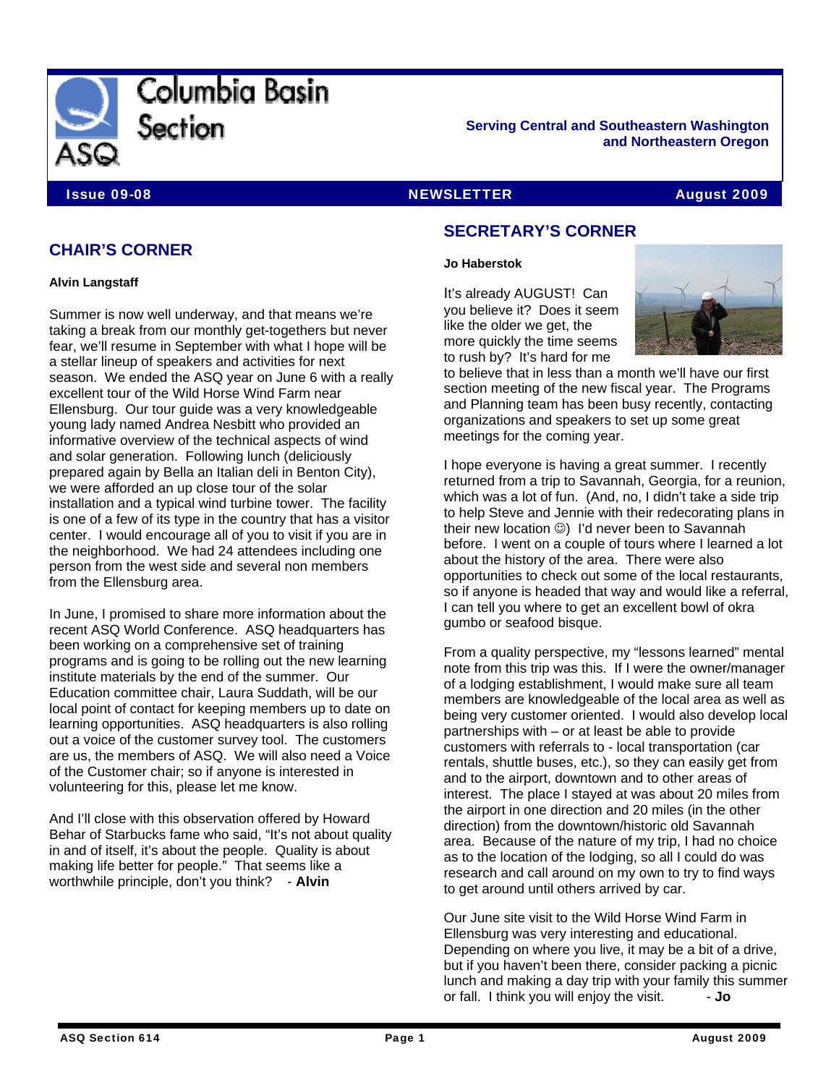

**Serving Central and Southeastern Washington and Northeastern Oregon** 

#### **Issue 09-08 NEWSLETTER August 2009** NEWSLETTER August 2009

# **CHAIR'S CORNER**

**Alvin Langstaff** 

Summer is now well underway, and that means we're taking a break from our monthly get-togethers but never fear, we'll resume in September with what I hope will be a stellar lineup of speakers and activities for next season. We ended the ASQ year on June 6 with a really excellent tour of the Wild Horse Wind Farm near Ellensburg. Our tour guide was a very knowledgeable young lady named Andrea Nesbitt who provided an informative overview of the technical aspects of wind and solar generation. Following lunch (deliciously prepared again by Bella an Italian deli in Benton City), we were afforded an up close tour of the solar installation and a typical wind turbine tower. The facility is one of a few of its type in the country that has a visitor center. I would encourage all of you to visit if you are in the neighborhood. We had 24 attendees including one person from the west side and several non members from the Ellensburg area.

In June, I promised to share more information about the recent ASQ World Conference. ASQ headquarters has been working on a comprehensive set of training programs and is going to be rolling out the new learning institute materials by the end of the summer. Our Education committee chair, Laura Suddath, will be our local point of contact for keeping members up to date on learning opportunities. ASQ headquarters is also rolling out a voice of the customer survey tool. The customers are us, the members of ASQ. We will also need a Voice of the Customer chair; so if anyone is interested in volunteering for this, please let me know.

And I'll close with this observation offered by Howard Behar of Starbucks fame who said, "It's not about quality in and of itself, it's about the people. Quality is about making life better for people." That seems like a worthwhile principle, don't you think? - **Alvin**

## **SECRETARY'S CORNER**

#### **Jo Haberstok**

It's already AUGUST! Can you believe it? Does it seem like the older we get, the more quickly the time seems to rush by? It's hard for me



to believe that in less than a month we'll have our first section meeting of the new fiscal year. The Programs and Planning team has been busy recently, contacting organizations and speakers to set up some great meetings for the coming year.

I hope everyone is having a great summer. I recently returned from a trip to Savannah, Georgia, for a reunion, which was a lot of fun. (And, no, I didn't take a side trip to help Steve and Jennie with their redecorating plans in their new location ⓒ) I'd never been to Savannah before. I went on a couple of tours where I learned a lot about the history of the area. There were also opportunities to check out some of the local restaurants, so if anyone is headed that way and would like a referral, I can tell you where to get an excellent bowl of okra gumbo or seafood bisque.

From a quality perspective, my "lessons learned" mental note from this trip was this. If I were the owner/manager of a lodging establishment, I would make sure all team members are knowledgeable of the local area as well as being very customer oriented. I would also develop local partnerships with – or at least be able to provide customers with referrals to - local transportation (car rentals, shuttle buses, etc.), so they can easily get from and to the airport, downtown and to other areas of interest. The place I stayed at was about 20 miles from the airport in one direction and 20 miles (in the other direction) from the downtown/historic old Savannah area. Because of the nature of my trip, I had no choice as to the location of the lodging, so all I could do was research and call around on my own to try to find ways to get around until others arrived by car.

Our June site visit to the Wild Horse Wind Farm in Ellensburg was very interesting and educational. Depending on where you live, it may be a bit of a drive, but if you haven't been there, consider packing a picnic lunch and making a day trip with your family this summer or fall. I think you will enjoy the visit. - **Jo**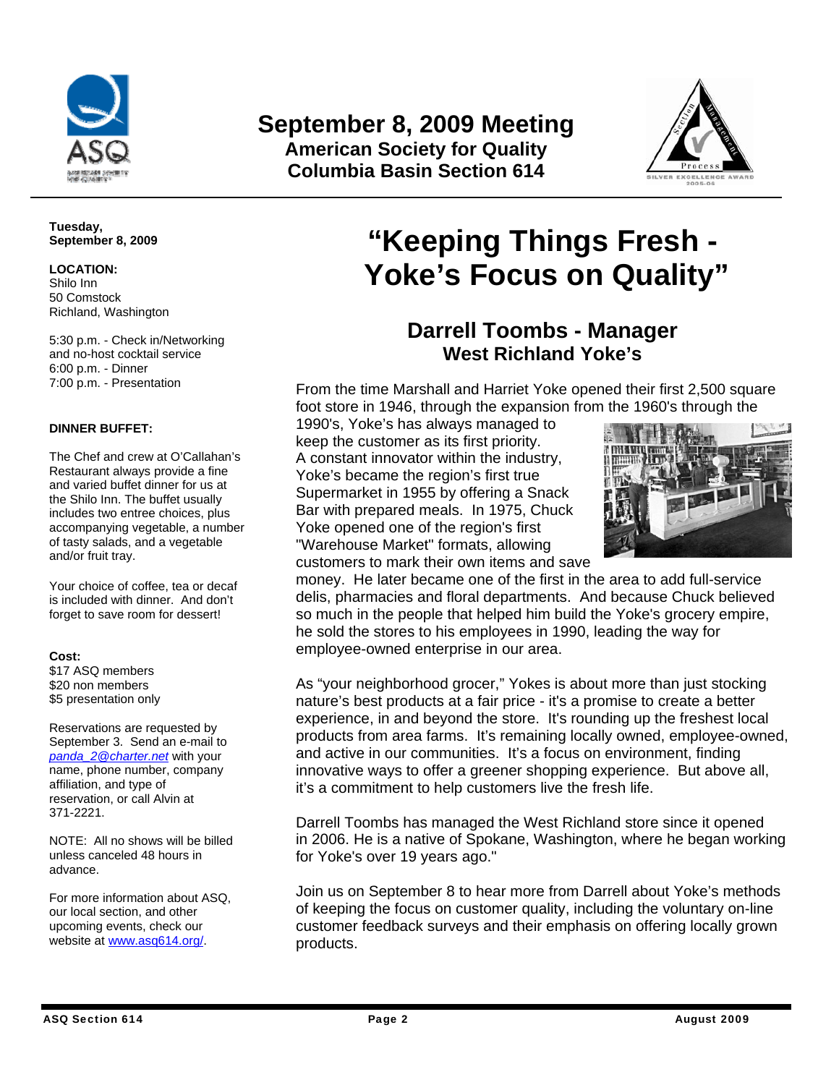

# **September 8, 2009 Meeting American Society for Quality**

**Columbia Basin Section 614**



**Tuesday, September 8, 2009** 

**LOCATION:**  Shilo Inn

50 Comstock Richland, Washington

5:30 p.m. - Check in/Networking and no-host cocktail service 6:00 p.m. - Dinner 7:00 p.m. - Presentation

#### **DINNER BUFFET:**

The Chef and crew at O'Callahan's Restaurant always provide a fine and varied buffet dinner for us at the Shilo Inn. The buffet usually includes two entree choices, plus accompanying vegetable, a number of tasty salads, and a vegetable and/or fruit tray.

Your choice of coffee, tea or decaf is included with dinner. And don't forget to save room for dessert!

#### **Cost:**

\$17 ASQ members \$20 non members \$5 presentation only

Reservations are requested by September 3. Send an e-mail to *panda\_2@charter.net* with your name, phone number, company affiliation, and type of reservation, or call Alvin at 371-2221.

NOTE: All no shows will be billed unless canceled 48 hours in advance.

For more information about ASQ, our local section, and other upcoming events, check our website at www.asq614.org/.

# **"Keeping Things Fresh - Yoke's Focus on Quality"**

# **Darrell Toombs - Manager West Richland Yoke's**

From the time Marshall and Harriet Yoke opened their first 2,500 square foot store in 1946, through the expansion from the 1960's through the

1990's, Yoke's has always managed to keep the customer as its first priority. A constant innovator within the industry, Yoke's became the region's first true Supermarket in 1955 by offering a Snack Bar with prepared meals. In 1975, Chuck Yoke opened one of the region's first "Warehouse Market" formats, allowing customers to mark their own items and save



money. He later became one of the first in the area to add full-service delis, pharmacies and floral departments. And because Chuck believed so much in the people that helped him build the Yoke's grocery empire, he sold the stores to his employees in 1990, leading the way for employee-owned enterprise in our area.

As "your neighborhood grocer," Yokes is about more than just stocking nature's best products at a fair price - it's a promise to create a better experience, in and beyond the store. It's rounding up the freshest local products from area farms. It's remaining locally owned, employee-owned, and active in our communities. It's a focus on environment, finding innovative ways to offer a greener shopping experience. But above all, it's a commitment to help customers live the fresh life.

Darrell Toombs has managed the West Richland store since it opened in 2006. He is a native of Spokane, Washington, where he began working for Yoke's over 19 years ago."

Join us on September 8 to hear more from Darrell about Yoke's methods of keeping the focus on customer quality, including the voluntary on-line customer feedback surveys and their emphasis on offering locally grown products.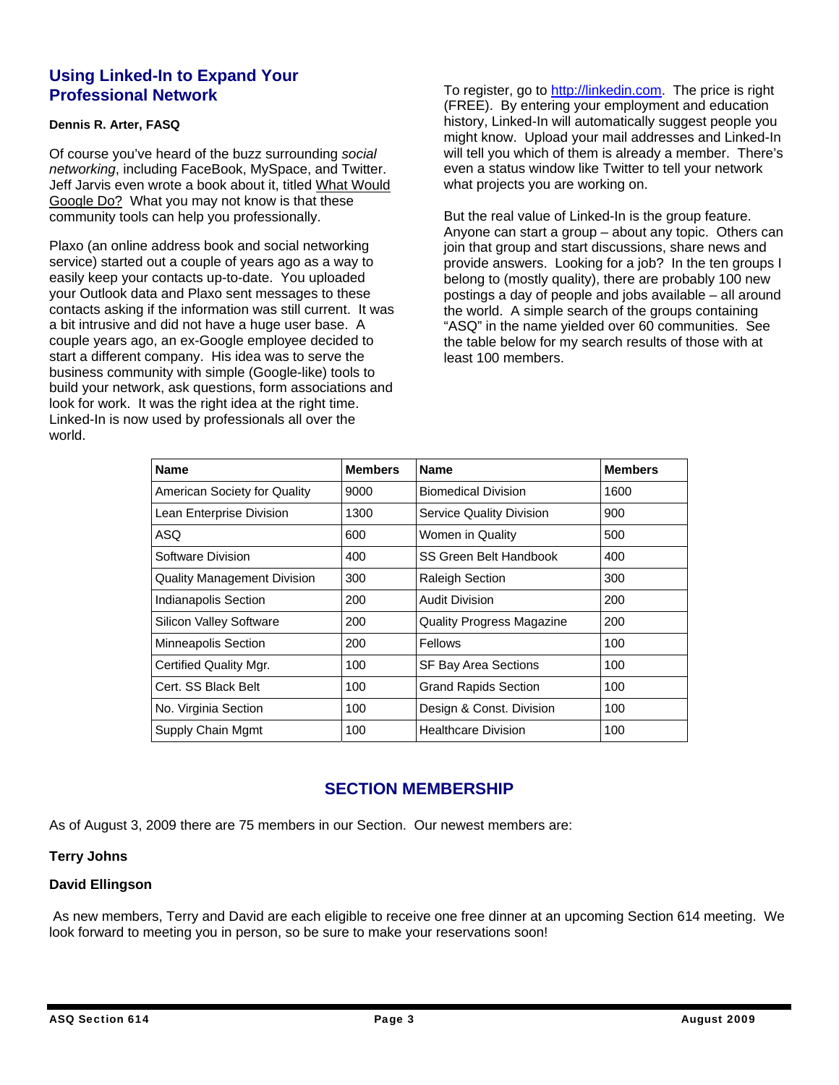### **Using Linked-In to Expand Your Professional Network**

#### **Dennis R. Arter, FASQ**

Of course you've heard of the buzz surrounding *social networking*, including FaceBook, MySpace, and Twitter. Jeff Jarvis even wrote a book about it, titled What Would Google Do? What you may not know is that these community tools can help you professionally.

Plaxo (an online address book and social networking service) started out a couple of years ago as a way to easily keep your contacts up-to-date. You uploaded your Outlook data and Plaxo sent messages to these contacts asking if the information was still current. It was a bit intrusive and did not have a huge user base. A couple years ago, an ex-Google employee decided to start a different company. His idea was to serve the business community with simple (Google-like) tools to build your network, ask questions, form associations and look for work. It was the right idea at the right time. Linked-In is now used by professionals all over the world.

To register, go to http://linkedin.com. The price is right (FREE). By entering your employment and education history, Linked-In will automatically suggest people you might know. Upload your mail addresses and Linked-In will tell you which of them is already a member. There's even a status window like Twitter to tell your network what projects you are working on.

But the real value of Linked-In is the group feature. Anyone can start a group – about any topic. Others can join that group and start discussions, share news and provide answers. Looking for a job? In the ten groups I belong to (mostly quality), there are probably 100 new postings a day of people and jobs available – all around the world. A simple search of the groups containing "ASQ" in the name yielded over 60 communities. See the table below for my search results of those with at least 100 members.

| <b>Name</b>                        | <b>Members</b> | <b>Name</b>                      | <b>Members</b> |
|------------------------------------|----------------|----------------------------------|----------------|
| American Society for Quality       | 9000           | <b>Biomedical Division</b>       | 1600           |
| Lean Enterprise Division           | 1300           | <b>Service Quality Division</b>  | 900            |
| <b>ASQ</b>                         | 600            | Women in Quality                 | 500            |
| Software Division                  | 400            | SS Green Belt Handbook           | 400            |
| <b>Quality Management Division</b> | 300            | <b>Raleigh Section</b>           | 300            |
| Indianapolis Section               | 200            | <b>Audit Division</b>            | 200            |
| <b>Silicon Valley Software</b>     | 200            | <b>Quality Progress Magazine</b> | 200            |
| <b>Minneapolis Section</b>         | 200            | Fellows                          | 100            |
| Certified Quality Mgr.             | 100            | <b>SF Bay Area Sections</b>      | 100            |
| Cert. SS Black Belt                | 100            | <b>Grand Rapids Section</b>      | 100            |
| No. Virginia Section               | 100            | Design & Const. Division         | 100            |
| Supply Chain Mgmt                  | 100            | <b>Healthcare Division</b>       | 100            |

## **SECTION MEMBERSHIP**

As of August 3, 2009 there are 75 members in our Section. Our newest members are:

#### **Terry Johns**

#### **David Ellingson**

 As new members, Terry and David are each eligible to receive one free dinner at an upcoming Section 614 meeting. We look forward to meeting you in person, so be sure to make your reservations soon!